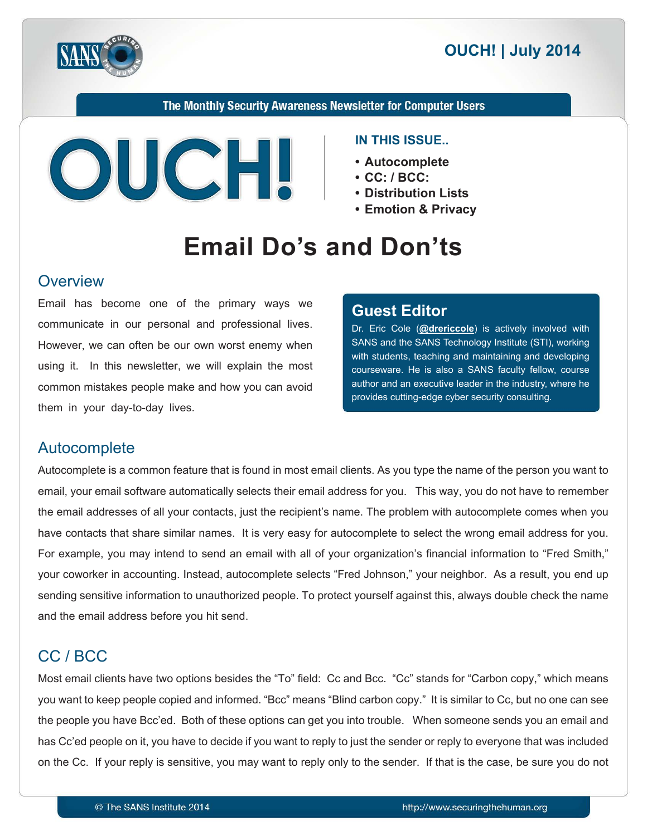

The Monthly Security Awareness Newsletter for Computer Users



#### **IN THIS ISSUE...**

- **Autocomplete•**
- CC: / BCC:
- **Distribution Lists** 
	- **Emotion & Privacy**

# **Email Do's and Don'ts**

#### **Overview**

Email has become one of the primary ways we communicate in our personal and professional lives. However, we can often be our own worst enemy when using it. In this newsletter, we will explain the most common mistakes people make and how you can avoid them in your day-to-day lives.

#### **Editor Guest**

Dr. Eric Cole (@[drericcole](https://twitter.com/drericcole)) is actively involved with SANS and the SANS Technology Institute (STI), working with students, teaching and maintaining and developing courseware. He is also a SANS faculty fellow, course author and an executive leader in the industry, where he provides cutting-edge cyber security consulting.

# Autocomplete

Autocomplete is a common feature that is found in most email clients. As you type the name of the person you want to email, your email software automatically selects their email address for you. This way, you do not have to remember the email addresses of all your contacts, just the recipient's name. The problem with autocomplete comes when you have contacts that share similar names. It is very easy for autocomplete to select the wrong email address for you. For example, you may intend to send an email with all of your organization's financial information to "Fred Smith," your coworker in accounting. Instead, autocomplete selects "Fred Johnson," your neighbor. As a result, you end up sending sensitive information to unauthorized people. To protect yourself against this, always double check the name and the email address before you hit send.

# CC / BCC

Most email clients have two options besides the "To" field: Cc and Bcc. "Cc" stands for "Carbon copy," which means you want to keep people copied and informed. "Bcc" means "Blind carbon copy." It is similar to Cc, but no one can see the people you have Bcc'ed. Both of these options can get you into trouble. When someone sends you an email and has Cc'ed people on it, you have to decide if you want to reply to just the sender or reply to everyone that was included on the Cc. If your reply is sensitive, you may want to reply only to the sender. If that is the case, be sure you do not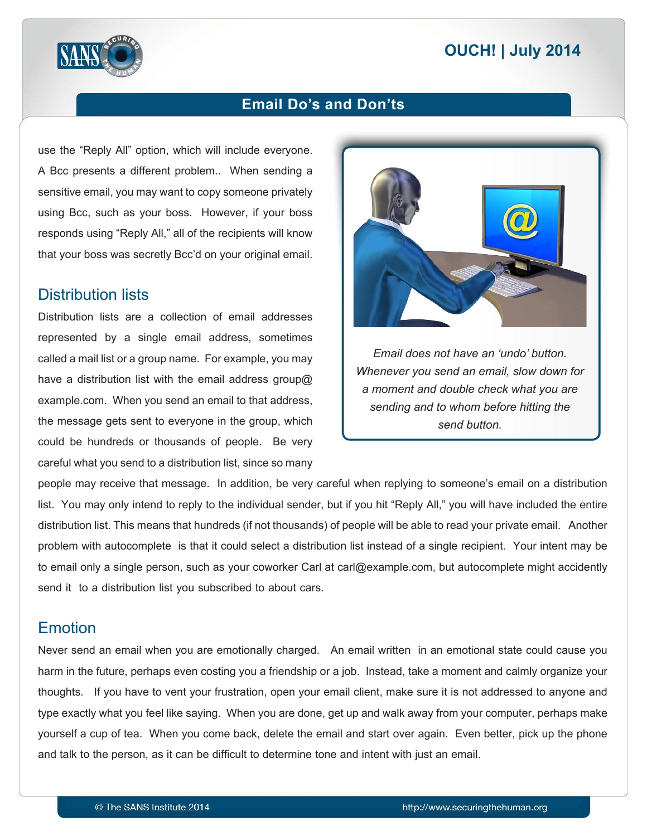# **2014 | OUCH! | July 2014**



# **Email Do's and Don'ts**

use the "Reply All" option, which will include everyone. A Bcc presents a different problem.. When sending a sensitive email, you may want to copy someone privately using Bcc, such as your boss. However, if your boss responds using "Reply All," all of the recipients will know that your boss was secretly Bcc'd on your original email.

#### **Distribution lists**

Distribution lists are a collection of email addresses represented by a single email address, sometimes called a mail list or a group name. For example, you may have a distribution list with the email address group  $\omega$ example.com. When you send an email to that address, the message gets sent to everyone in the group, which could be hundreds or thousands of people. Be very careful what you send to a distribution list, since so many



*<i>Email does not have an 'undo' button. Whenever you send an email, slow down for* a moment and double check what you are sending and to whom before hitting the send button.

people may receive that message. In addition, be very careful when replying to someone's email on a distribution list. You may only intend to reply to the individual sender, but if you hit "Reply All," you will have included the entire distribution list. This means that hundreds (if not thousands) of people will be able to read your private email. Another problem with autocomplete is that it could select a distribution list instead of a single recipient. Your intent may be to email only a single person, such as your coworker Carl at carl@example.com, but autocomplete might accidently send it to a distribution list you subscribed to about cars.

# Emotion

Never send an email when you are emotionally charged. An email written in an emotional state could cause you harm in the future, perhaps even costing you a friendship or a job. Instead, take a moment and calmly organize your thoughts. If you have to vent your frustration, open your email client, make sure it is not addressed to anyone and type exactly what you feel like saying. When you are done, get up and walk away from your computer, perhaps make yourself a cup of tea. When you come back, delete the email and start over again. Even better, pick up the phone and talk to the person, as it can be difficult to determine tone and intent with just an email.